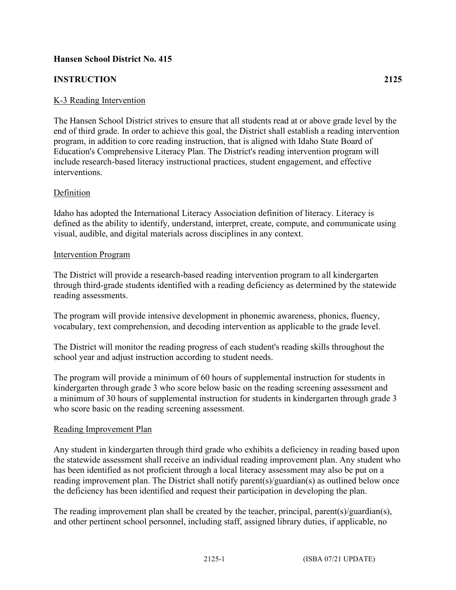# **Hansen School District No. 415**

# **INSTRUCTION 2125**

## K-3 Reading Intervention

The Hansen School District strives to ensure that all students read at or above grade level by the end of third grade. In order to achieve this goal, the District shall establish a reading intervention program, in addition to core reading instruction, that is aligned with Idaho State Board of Education's Comprehensive Literacy Plan. The District's reading intervention program will include research-based literacy instructional practices, student engagement, and effective interventions.

### Definition

Idaho has adopted the International Literacy Association definition of literacy. Literacy is defined as the ability to identify, understand, interpret, create, compute, and communicate using visual, audible, and digital materials across disciplines in any context.

#### Intervention Program

The District will provide a research-based reading intervention program to all kindergarten through third-grade students identified with a reading deficiency as determined by the statewide reading assessments.

The program will provide intensive development in phonemic awareness, phonics, fluency, vocabulary, text comprehension, and decoding intervention as applicable to the grade level.

The District will monitor the reading progress of each student's reading skills throughout the school year and adjust instruction according to student needs.

The program will provide a minimum of 60 hours of supplemental instruction for students in kindergarten through grade 3 who score below basic on the reading screening assessment and a minimum of 30 hours of supplemental instruction for students in kindergarten through grade 3 who score basic on the reading screening assessment.

#### Reading Improvement Plan

Any student in kindergarten through third grade who exhibits a deficiency in reading based upon the statewide assessment shall receive an individual reading improvement plan. Any student who has been identified as not proficient through a local literacy assessment may also be put on a reading improvement plan. The District shall notify parent(s)/guardian(s) as outlined below once the deficiency has been identified and request their participation in developing the plan.

The reading improvement plan shall be created by the teacher, principal, parent(s)/guardian(s), and other pertinent school personnel, including staff, assigned library duties, if applicable, no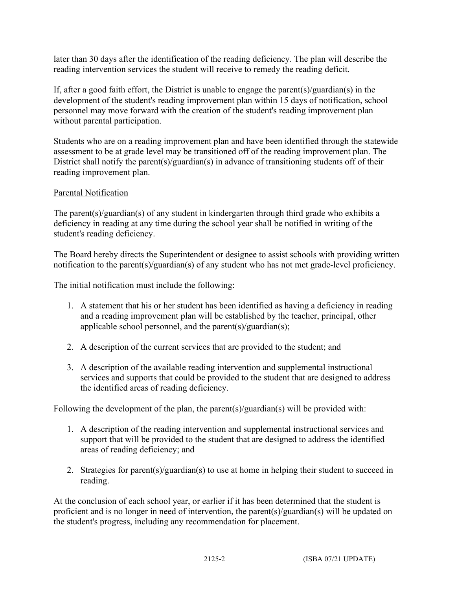later than 30 days after the identification of the reading deficiency. The plan will describe the reading intervention services the student will receive to remedy the reading deficit.

If, after a good faith effort, the District is unable to engage the parent(s)/guardian(s) in the development of the student's reading improvement plan within 15 days of notification, school personnel may move forward with the creation of the student's reading improvement plan without parental participation.

Students who are on a reading improvement plan and have been identified through the statewide assessment to be at grade level may be transitioned off of the reading improvement plan. The District shall notify the parent(s)/guardian(s) in advance of transitioning students off of their reading improvement plan.

## Parental Notification

The parent(s)/guardian(s) of any student in kindergarten through third grade who exhibits a deficiency in reading at any time during the school year shall be notified in writing of the student's reading deficiency.

The Board hereby directs the Superintendent or designee to assist schools with providing written notification to the parent(s)/guardian(s) of any student who has not met grade-level proficiency.

The initial notification must include the following:

- 1. A statement that his or her student has been identified as having a deficiency in reading and a reading improvement plan will be established by the teacher, principal, other applicable school personnel, and the parent $(s)/$ guardian $(s)$ ;
- 2. A description of the current services that are provided to the student; and
- 3. A description of the available reading intervention and supplemental instructional services and supports that could be provided to the student that are designed to address the identified areas of reading deficiency.

Following the development of the plan, the parent(s)/guardian(s) will be provided with:

- 1. A description of the reading intervention and supplemental instructional services and support that will be provided to the student that are designed to address the identified areas of reading deficiency; and
- 2. Strategies for parent(s)/guardian(s) to use at home in helping their student to succeed in reading.

At the conclusion of each school year, or earlier if it has been determined that the student is proficient and is no longer in need of intervention, the parent(s)/guardian(s) will be updated on the student's progress, including any recommendation for placement.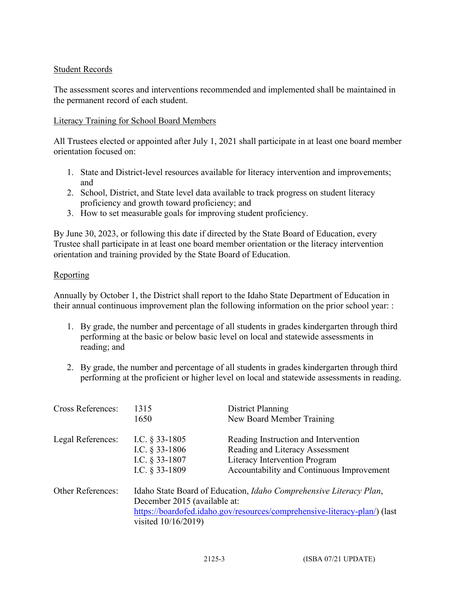### Student Records

The assessment scores and interventions recommended and implemented shall be maintained in the permanent record of each student.

### Literacy Training for School Board Members

All Trustees elected or appointed after July 1, 2021 shall participate in at least one board member orientation focused on:

- 1. State and District-level resources available for literacy intervention and improvements; and
- 2. School, District, and State level data available to track progress on student literacy proficiency and growth toward proficiency; and
- 3. How to set measurable goals for improving student proficiency.

By June 30, 2023, or following this date if directed by the State Board of Education, every Trustee shall participate in at least one board member orientation or the literacy intervention orientation and training provided by the State Board of Education.

### Reporting

Annually by October 1, the District shall report to the Idaho State Department of Education in their annual continuous improvement plan the following information on the prior school year: :

- 1. By grade, the number and percentage of all students in grades kindergarten through third performing at the basic or below basic level on local and statewide assessments in reading; and
- 2. By grade, the number and percentage of all students in grades kindergarten through third performing at the proficient or higher level on local and statewide assessments in reading.

| <b>Cross References:</b> | 1315<br>1650                                                                                                                                                                                           | District Planning<br>New Board Member Training                                                                                                        |
|--------------------------|--------------------------------------------------------------------------------------------------------------------------------------------------------------------------------------------------------|-------------------------------------------------------------------------------------------------------------------------------------------------------|
| Legal References:        | I.C. $\S$ 33-1805<br>I.C. $§$ 33-1806<br>I.C. § 33-1807<br>I.C. $§$ 33-1809                                                                                                                            | Reading Instruction and Intervention<br>Reading and Literacy Assessment<br>Literacy Intervention Program<br>Accountability and Continuous Improvement |
| <b>Other References:</b> | Idaho State Board of Education, Idaho Comprehensive Literacy Plan,<br>December 2015 (available at:<br>https://boardofed.idaho.gov/resources/comprehensive-literacy-plan/) (last<br>visited 10/16/2019) |                                                                                                                                                       |